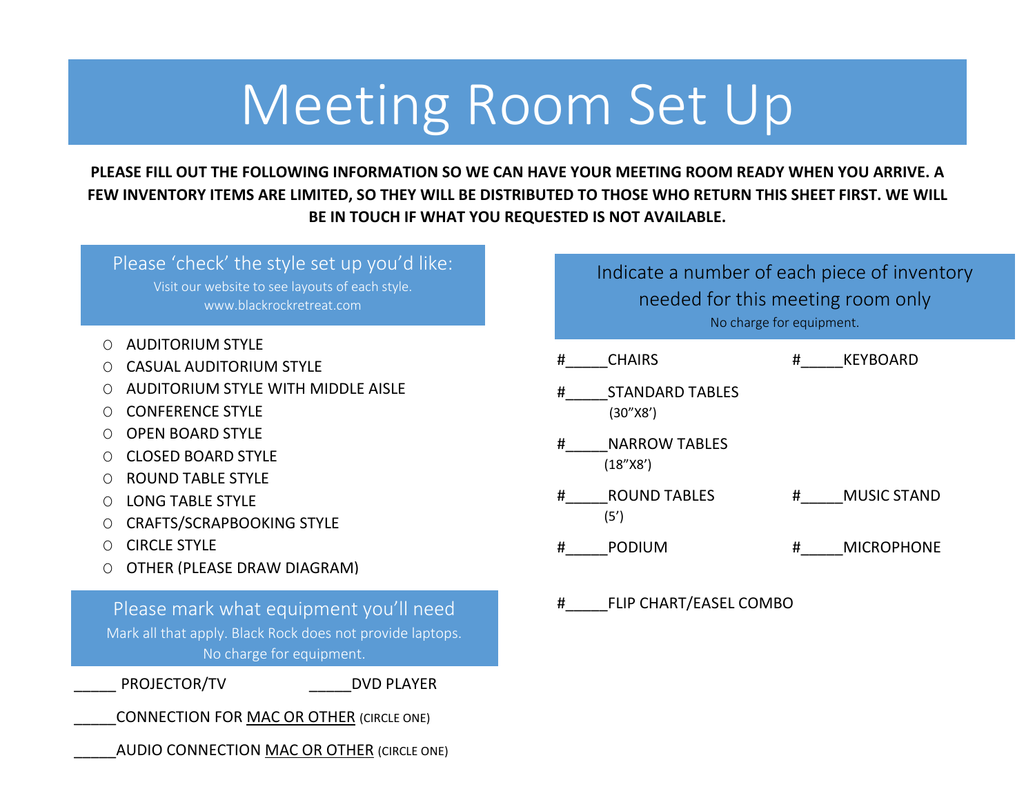## Meeting Room Set Up

**PLEASE FILL OUT THE FOLLOWING INFORMATION SO WE CAN HAVE YOUR MEETING ROOM READY WHEN YOU ARRIVE. A FEW INVENTORY ITEMS ARE LIMITED, SO THEY WILL BE DISTRIBUTED TO THOSE WHO RETURN THIS SHEET FIRST. WE WILL BE IN TOUCH IF WHAT YOU REQUESTED IS NOT AVAILABLE.**

Please 'check' the style set up you'd like: Visit our website to see layouts of each style. www.blackrockretreat.com

- O AUDITORIUM STYLE
- O CASUAL AUDITORIUM STYLE
- O AUDITORIUM STYLE WITH MIDDLE AISLE
- O CONFERENCE STYLE
- O OPEN BOARD STYLE
- O CLOSED BOARD STYLE
- O ROUND TABLE STYLE
- O LONG TABLE STYLE
- O CRAFTS/SCRAPBOOKING STYLE
- O CIRCLE STYLE
- O OTHER (PLEASE DRAW DIAGRAM)

Please mark what equipment you'll need Mark all that apply. Black Rock does not provide laptops. No charge for equipment.

PROJECTOR/TV DVD PLAYER

CONNECTION FOR MAC OR OTHER (CIRCLE ONE)

AUDIO CONNECTION MAC OR OTHER (CIRCLE ONE)

Indicate a number of each piece of inventory needed for this meeting room only No charge for equipment.

- # CHAIRS # KEYBOARD
- STANDARD TABLES (30"X8')
- #\_\_\_\_\_NARROW TABLES (18"X8')
- # ROUND TABLES # MUSIC STAND (5')
- # PODIUM # MICROPHONE

#\_\_\_\_\_FLIP CHART/EASEL COMBO